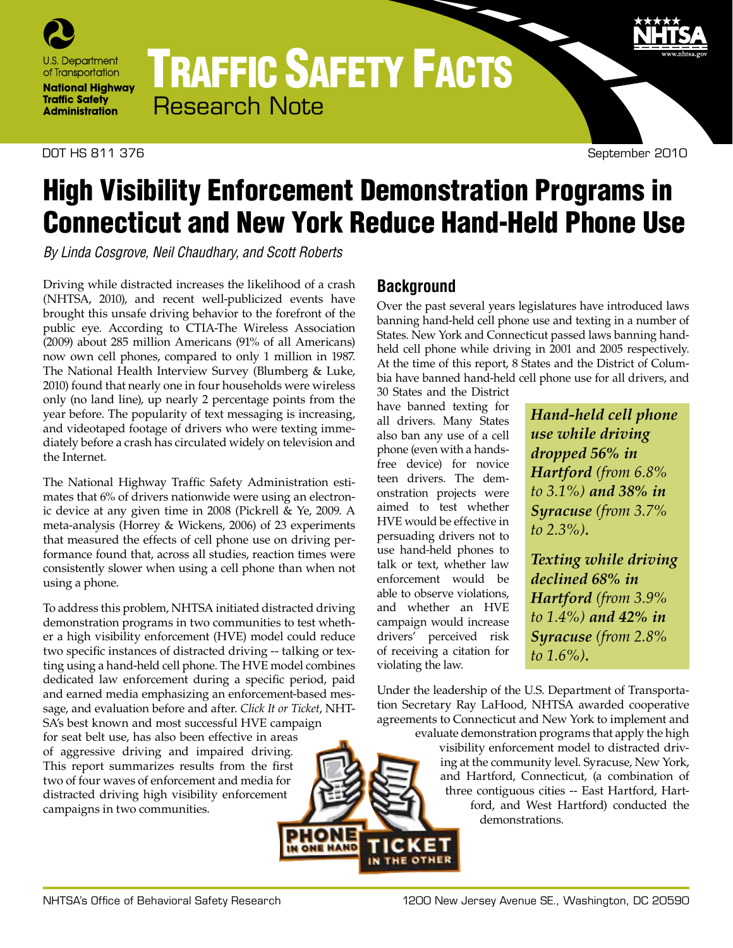

# TRAFFIC SAFETY FACTS Research Note

#### DOT HS 811 376 September 2010

9

# High Visibility Enforcement Demonstration Programs in Connecticut and New York Reduce Hand-Held Phone Use

*By Linda Cosgrove, Neil Chaudhary, and Scott Roberts* 

Driving while distracted increases the likelihood of a crash (NHTSA, 2010), and recent well-publicized events have brought this unsafe driving behavior to the forefront of the public eye. According to CTIA-The Wireless Association (2009) about 285 million Americans (91% of all Americans) now own cell phones, compared to only 1 million in 1987. The National Health Interview Survey (Blumberg & Luke, 2010) found that nearly one in four households were wireless only (no land line), up nearly 2 percentage points from the year before. The popularity of text messaging is increasing, and videotaped footage of drivers who were texting immediately before a crash has circulated widely on television and the Internet.

The National Highway Traffic Safety Administration estimates that 6% of drivers nationwide were using an electronic device at any given time in 2008 (Pickrell & Ye, 2009. A meta-analysis (Horrey & Wickens, 2006) of 23 experiments that measured the effects of cell phone use on driving performance found that, across all studies, reaction times were consistently slower when using a cell phone than when not using a phone.

To address this problem, NHTSA initiated distracted driving demonstration programs in two communities to test whether a high visibility enforcement (HVE) model could reduce two specific instances of distracted driving -- talking or texting using a hand-held cell phone. The HVE model combines dedicated law enforcement during a specific period, paid and earned media emphasizing an enforcement-based message, and evaluation before and after. *Click It or Ticket*, NHT-SA's best known and most successful HVE campaign for seat belt use, has also been effective in areas of aggressive driving and impaired driving. This report summarizes results from the first two of four waves of enforcement and media for distracted driving high visibility enforcement campaigns in two communities.

# **Background**

Over the past several years legislatures have introduced laws banning hand-held cell phone use and texting in a number of States. New York and Connecticut passed laws banning handheld cell phone while driving in 2001 and 2005 respectively. At the time of this report, 8 States and the District of Columbia have banned hand-held cell phone use for all drivers, and

30 States and the District have banned texting for all drivers. Many States also ban any use of a cell phone (even with a handsfree device) for novice teen drivers. The demonstration projects were aimed to test whether HVE would be effective in persuading drivers not to use hand-held phones to talk or text, whether law enforcement would be able to observe violations, and whether an HVE campaign would increase drivers' perceived risk of receiving a citation for violating the law.

*Hand-held cell phone use while driving dropped 56% in Hartford (from 6.8% to 3.1%) and 38% in Syracuse (from 3.7% to 2.3%).*

*Texting while driving declined 68% in Hartford (from 3.9% to 1.4%) and 42% in Syracuse (from 2.8% to 1.6%).*

Under the leadership of the U.S. Department of Transportation Secretary Ray LaHood, NHTSA awarded cooperative agreements to Connecticut and New York to implement and

evaluate demonstration programs that apply the high visibility enforcement model to distracted driving at the community level. Syracuse, New York, and Hartford, Connecticut, (a combination of three contiguous cities -- East Hartford, Hartford, and West Hartford) conducted the demonstrations.

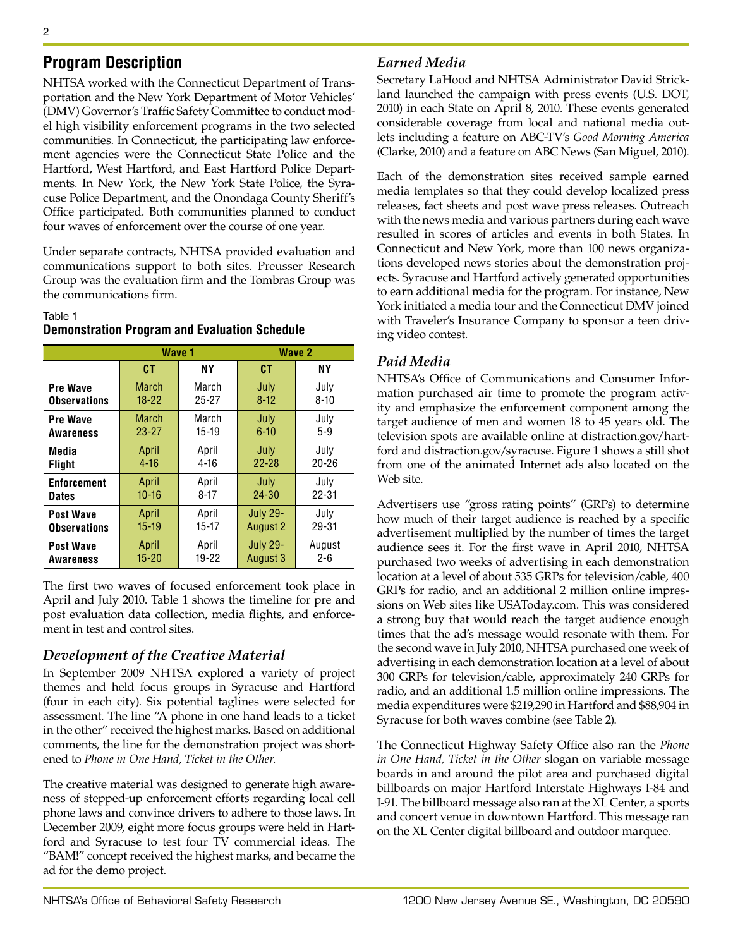# **Program Description**

NHTSA worked with the Connecticut Department of Transportation and the New York Department of Motor Vehicles' (DMV) Governor's Traffic Safety Committee to conduct model high visibility enforcement programs in the two selected communities. In Connecticut, the participating law enforcement agencies were the Connecticut State Police and the Hartford, West Hartford, and East Hartford Police Departments. In New York, the New York State Police, the Syracuse Police Department, and the Onondaga County Sheriff's Office participated. Both communities planned to conduct four waves of enforcement over the course of one year.

Under separate contracts, NHTSA provided evaluation and communications support to both sites. Preusser Research Group was the evaluation firm and the Tombras Group was the communications firm.

#### Table 1 **Demonstration Program and Evaluation Schedule**

|                     | Wave 1       |           |                 | <b>Wave 2</b> |  |
|---------------------|--------------|-----------|-----------------|---------------|--|
|                     | <b>CT</b>    | NΥ        | СT              | NΥ            |  |
| <b>Pre Wave</b>     | <b>March</b> | March     | July            | July          |  |
| <b>Observations</b> | $18 - 22$    | $25 - 27$ | $8 - 12$        | $8 - 10$      |  |
| <b>Pre Wave</b>     | March        | March     | July            | July          |  |
| Awareness           | $23 - 27$    | $15-19$   | $6 - 10$        | $5 - 9$       |  |
| Media               | April        | April     | July            | July          |  |
| <b>Flight</b>       | $4 - 16$     | $4 - 16$  | $22 - 28$       | $20 - 26$     |  |
| <b>Enforcement</b>  | April        | April     | July            | July          |  |
| <b>Dates</b>        | $10 - 16$    | $8 - 17$  | $24 - 30$       | $22 - 31$     |  |
| <b>Post Wave</b>    | April        | April     | <b>July 29-</b> | July          |  |
| <b>Observations</b> | $15-19$      | 15-17     | <b>August 2</b> | 29-31         |  |
| <b>Post Wave</b>    | April        | April     | <b>July 29-</b> | August        |  |
| Awareness           | $15 - 20$    | $19 - 22$ | August 3        | $2 - 6$       |  |

The first two waves of focused enforcement took place in April and July 2010. Table 1 shows the timeline for pre and post evaluation data collection, media flights, and enforcement in test and control sites.

# *Development of the Creative Material*

In September 2009 NHTSA explored a variety of project themes and held focus groups in Syracuse and Hartford (four in each city). Six potential taglines were selected for assessment. The line "A phone in one hand leads to a ticket in the other" received the highest marks. Based on additional comments, the line for the demonstration project was shortened to *Phone in One Hand, Ticket in the Other*.

The creative material was designed to generate high awareness of stepped-up enforcement efforts regarding local cell phone laws and convince drivers to adhere to those laws. In December 2009, eight more focus groups were held in Hartford and Syracuse to test four TV commercial ideas. The "BAM!" concept received the highest marks, and became the ad for the demo project.

# *Earned Media*

Secretary LaHood and NHTSA Administrator David Strickland launched the campaign with press events (U.S. DOT, 2010) in each State on April 8, 2010. These events generated considerable coverage from local and national media outlets including a feature on ABC-TV's *Good Morning America* (Clarke, 2010) and a feature on ABC News (San Miguel, 2010).

Each of the demonstration sites received sample earned media templates so that they could develop localized press releases, fact sheets and post wave press releases. Outreach with the news media and various partners during each wave resulted in scores of articles and events in both States. In Connecticut and New York, more than 100 news organizations developed news stories about the demonstration projects. Syracuse and Hartford actively generated opportunities to earn additional media for the program. For instance, New York initiated a media tour and the Connecticut DMV joined with Traveler's Insurance Company to sponsor a teen driving video contest.

# *Paid Media*

NHTSA's Office of Communications and Consumer Information purchased air time to promote the program activity and emphasize the enforcement component among the target audience of men and women 18 to 45 years old. The television spots are available online at distraction.gov/hartford and distraction.gov/syracuse. Figure 1 shows a still shot from one of the animated Internet ads also located on the Web site.

Advertisers use "gross rating points" (GRPs) to determine how much of their target audience is reached by a specific advertisement multiplied by the number of times the target audience sees it. For the first wave in April 2010, NHTSA purchased two weeks of advertising in each demonstration location at a level of about 535 GRPs for television/cable, 400 GRPs for radio, and an additional 2 million online impressions on Web sites like USAToday.com. This was considered a strong buy that would reach the target audience enough times that the ad's message would resonate with them. For the second wave in July 2010, NHTSA purchased one week of advertising in each demonstration location at a level of about 300 GRPs for television/cable, approximately 240 GRPs for radio, and an additional 1.5 million online impressions. The media expenditures were \$219,290 in Hartford and \$88,904 in Syracuse for both waves combine (see Table 2).

The Connecticut Highway Safety Office also ran the *Phone in One Hand, Ticket in the Other* slogan on variable message boards in and around the pilot area and purchased digital billboards on major Hartford Interstate Highways I-84 and I-91. The billboard message also ran at the XL Center, a sports and concert venue in downtown Hartford. This message ran on the XL Center digital billboard and outdoor marquee.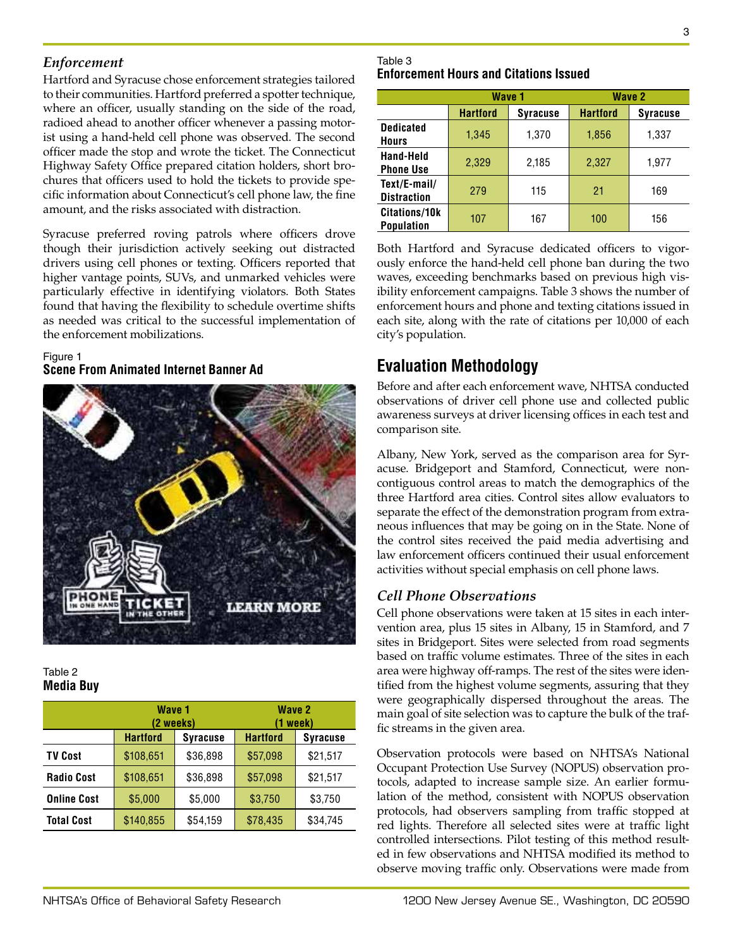## *Enforcement*

Hartford and Syracuse chose enforcement strategies tailored to their communities. Hartford preferred a spotter technique, where an officer, usually standing on the side of the road, radioed ahead to another officer whenever a passing motorist using a hand-held cell phone was observed. The second officer made the stop and wrote the ticket. The Connecticut Highway Safety Office prepared citation holders, short brochures that officers used to hold the tickets to provide specific information about Connecticut's cell phone law, the fine amount, and the risks associated with distraction.

Syracuse preferred roving patrols where officers drove though their jurisdiction actively seeking out distracted drivers using cell phones or texting. Officers reported that higher vantage points, SUVs, and unmarked vehicles were particularly effective in identifying violators. Both States found that having the flexibility to schedule overtime shifts as needed was critical to the successful implementation of the enforcement mobilizations.

#### Figure 1 **Scene From Animated Internet Banner Ad**



#### Table 2 **Media Buy**

|                    | Wave 1<br>(2 weeks) |                 | <b>Wave 2</b><br>(1 week) |                 |
|--------------------|---------------------|-----------------|---------------------------|-----------------|
|                    | <b>Hartford</b>     | <b>Syracuse</b> | <b>Hartford</b>           | <b>Syracuse</b> |
| <b>TV Cost</b>     | \$108,651           | \$36,898        | \$57,098                  | \$21,517        |
| <b>Radio Cost</b>  | \$108,651           | \$36,898        | \$57,098                  | \$21,517        |
| <b>Online Cost</b> | \$5,000             | \$5,000         | \$3,750                   | \$3,750         |
| <b>Total Cost</b>  | \$140,855           | \$54,159        | \$78,435                  | \$34,745        |

#### Table 3 **Enforcement Hours and Citations Issued**

|                                    | Wave 1          |                 | Wave 2          |                 |
|------------------------------------|-----------------|-----------------|-----------------|-----------------|
|                                    | <b>Hartford</b> | <b>Syracuse</b> | <b>Hartford</b> | <b>Syracuse</b> |
| <b>Dedicated</b><br><b>Hours</b>   | 1,345           | 1,370           | 1,856           | 1,337           |
| Hand-Held<br><b>Phone Use</b>      | 2,329           | 2,185           | 2,327           | 1,977           |
| Text/E-mail/<br><b>Distraction</b> | 279             | 115             | 21              | 169             |
| Citations/10k<br><b>Population</b> | 107             | 167             | 100             | 156             |

Both Hartford and Syracuse dedicated officers to vigorously enforce the hand-held cell phone ban during the two waves, exceeding benchmarks based on previous high visibility enforcement campaigns. Table 3 shows the number of enforcement hours and phone and texting citations issued in each site, along with the rate of citations per 10,000 of each city's population.

# **Evaluation Methodology**

Before and after each enforcement wave, NHTSA conducted observations of driver cell phone use and collected public awareness surveys at driver licensing offices in each test and comparison site.

Albany, New York, served as the comparison area for Syracuse. Bridgeport and Stamford, Connecticut, were noncontiguous control areas to match the demographics of the three Hartford area cities. Control sites allow evaluators to separate the effect of the demonstration program from extraneous influences that may be going on in the State. None of the control sites received the paid media advertising and law enforcement officers continued their usual enforcement activities without special emphasis on cell phone laws.

# *Cell Phone Observations*

Cell phone observations were taken at 15 sites in each intervention area, plus 15 sites in Albany, 15 in Stamford, and 7 sites in Bridgeport. Sites were selected from road segments based on traffic volume estimates. Three of the sites in each area were highway off-ramps. The rest of the sites were identified from the highest volume segments, assuring that they were geographically dispersed throughout the areas. The main goal of site selection was to capture the bulk of the traffic streams in the given area.

Observation protocols were based on NHTSA's National Occupant Protection Use Survey (NOPUS) observation protocols, adapted to increase sample size. An earlier formulation of the method, consistent with NOPUS observation protocols, had observers sampling from traffic stopped at red lights. Therefore all selected sites were at traffic light controlled intersections. Pilot testing of this method resulted in few observations and NHTSA modified its method to observe moving traffic only. Observations were made from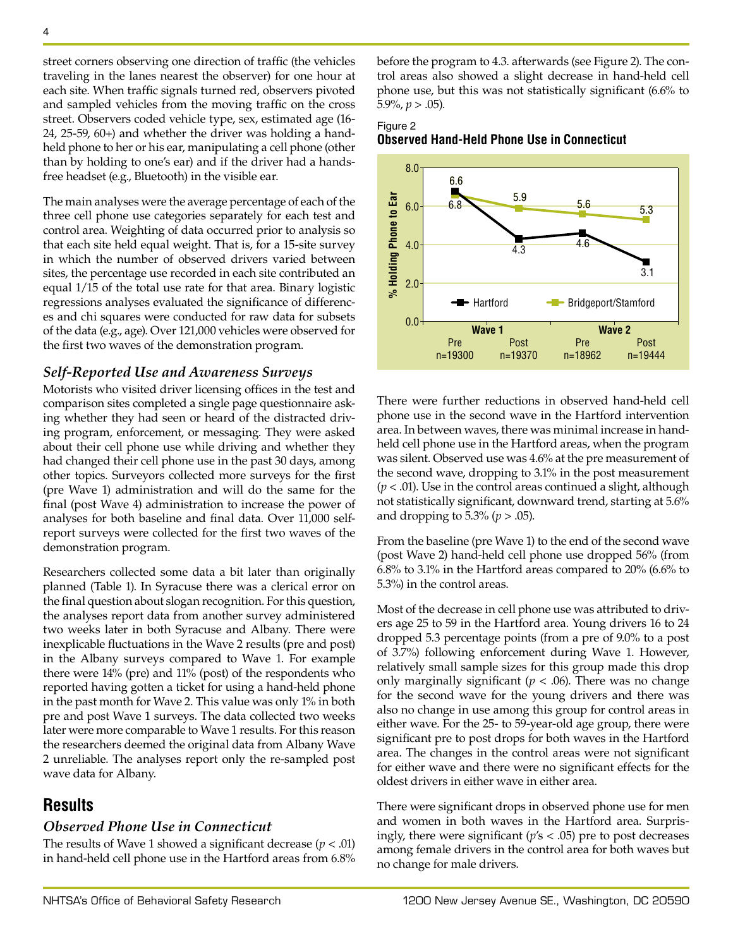street corners observing one direction of traffic (the vehicles traveling in the lanes nearest the observer) for one hour at each site. When traffic signals turned red, observers pivoted and sampled vehicles from the moving traffic on the cross street. Observers coded vehicle type, sex, estimated age (16- 24, 25-59, 60+) and whether the driver was holding a handheld phone to her or his ear, manipulating a cell phone (other than by holding to one's ear) and if the driver had a handsfree headset (e.g., Bluetooth) in the visible ear.

The main analyses were the average percentage of each of the three cell phone use categories separately for each test and control area. Weighting of data occurred prior to analysis so that each site held equal weight. That is, for a 15-site survey in which the number of observed drivers varied between sites, the percentage use recorded in each site contributed an equal 1/15 of the total use rate for that area. Binary logistic regressions analyses evaluated the significance of differences and chi squares were conducted for raw data for subsets of the data (e.g., age). Over 121,000 vehicles were observed for the first two waves of the demonstration program.

#### *Self-Reported Use and Awareness Surveys*

Motorists who visited driver licensing offices in the test and comparison sites completed a single page questionnaire asking whether they had seen or heard of the distracted driving program, enforcement, or messaging. They were asked about their cell phone use while driving and whether they had changed their cell phone use in the past 30 days, among other topics. Surveyors collected more surveys for the first (pre Wave 1) administration and will do the same for the final (post Wave 4) administration to increase the power of analyses for both baseline and final data. Over 11,000 selfreport surveys were collected for the first two waves of the demonstration program.

Researchers collected some data a bit later than originally planned (Table 1). In Syracuse there was a clerical error on the final question about slogan recognition. For this question, the analyses report data from another survey administered two weeks later in both Syracuse and Albany. There were inexplicable fluctuations in the Wave 2 results (pre and post) in the Albany surveys compared to Wave 1. For example there were 14% (pre) and 11% (post) of the respondents who reported having gotten a ticket for using a hand-held phone in the past month for Wave 2. This value was only 1% in both pre and post Wave 1 surveys. The data collected two weeks later were more comparable to Wave 1 results. For this reason the researchers deemed the original data from Albany Wave 2 unreliable. The analyses report only the re-sampled post wave data for Albany.

# **Results**

#### *Observed Phone Use in Connecticut*

The results of Wave 1 showed a significant decrease  $(p < .01)$ in hand-held cell phone use in the Hartford areas from 6.8% before the program to 4.3. afterwards (see Figure 2). The control areas also showed a slight decrease in hand-held cell phone use, but this was not statistically significant (6.6% to  $5.9\%, p > .05$ ).

#### Figure 2 **Observed Hand-Held Phone Use in Connecticut**



There were further reductions in observed hand-held cell phone use in the second wave in the Hartford intervention area. In between waves, there was minimal increase in handheld cell phone use in the Hartford areas, when the program was silent. Observed use was 4.6% at the pre measurement of the second wave, dropping to 3.1% in the post measurement (*p* < .01). Use in the control areas continued a slight, although not statistically significant, downward trend, starting at 5.6% and dropping to 5.3% (*p* > .05).

From the baseline (pre Wave 1) to the end of the second wave (post Wave 2) hand-held cell phone use dropped 56% (from 6.8% to 3.1% in the Hartford areas compared to 20% (6.6% to 5.3%) in the control areas.

Most of the decrease in cell phone use was attributed to drivers age 25 to 59 in the Hartford area. Young drivers 16 to 24 dropped 5.3 percentage points (from a pre of 9.0% to a post of 3.7%) following enforcement during Wave 1. However, relatively small sample sizes for this group made this drop only marginally significant ( $p < .06$ ). There was no change for the second wave for the young drivers and there was also no change in use among this group for control areas in either wave. For the 25- to 59-year-old age group, there were significant pre to post drops for both waves in the Hartford area. The changes in the control areas were not significant for either wave and there were no significant effects for the oldest drivers in either wave in either area.

There were significant drops in observed phone use for men and women in both waves in the Hartford area. Surprisingly, there were significant (*p*'s < .05) pre to post decreases among female drivers in the control area for both waves but no change for male drivers.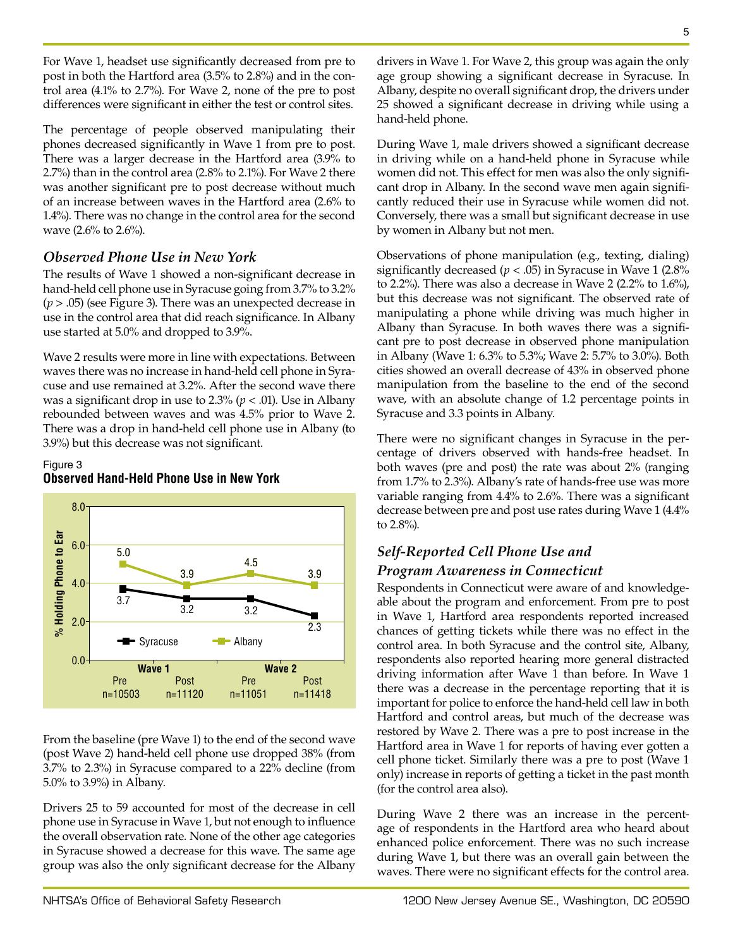For Wave 1, headset use significantly decreased from pre to post in both the Hartford area (3.5% to 2.8%) and in the control area (4.1% to 2.7%). For Wave 2, none of the pre to post differences were significant in either the test or control sites.

The percentage of people observed manipulating their phones decreased significantly in Wave 1 from pre to post. There was a larger decrease in the Hartford area (3.9% to 2.7%) than in the control area (2.8% to 2.1%). For Wave 2 there was another significant pre to post decrease without much of an increase between waves in the Hartford area (2.6% to 1.4%). There was no change in the control area for the second wave (2.6% to 2.6%).

## *Observed Phone Use in New York*

The results of Wave 1 showed a non-significant decrease in hand-held cell phone use in Syracuse going from 3.7% to 3.2% (*p* > .05) (see Figure 3). There was an unexpected decrease in use in the control area that did reach significance. In Albany use started at 5.0% and dropped to 3.9%.

Wave 2 results were more in line with expectations. Between waves there was no increase in hand-held cell phone in Syracuse and use remained at 3.2%. After the second wave there was a significant drop in use to  $2.3\%$  ( $p < .01$ ). Use in Albany rebounded between waves and was 4.5% prior to Wave 2. There was a drop in hand-held cell phone use in Albany (to 3.9%) but this decrease was not significant.

### Figure 3 **Observed Hand-Held Phone Use in New York**



From the baseline (pre Wave 1) to the end of the second wave (post Wave 2) hand-held cell phone use dropped 38% (from 3.7% to 2.3%) in Syracuse compared to a 22% decline (from 5.0% to 3.9%) in Albany.

Drivers 25 to 59 accounted for most of the decrease in cell phone use in Syracuse in Wave 1, but not enough to influence the overall observation rate. None of the other age categories in Syracuse showed a decrease for this wave. The same age group was also the only significant decrease for the Albany drivers in Wave 1. For Wave 2, this group was again the only age group showing a significant decrease in Syracuse. In Albany, despite no overall significant drop, the drivers under 25 showed a significant decrease in driving while using a hand-held phone.

During Wave 1, male drivers showed a significant decrease in driving while on a hand-held phone in Syracuse while women did not. This effect for men was also the only significant drop in Albany. In the second wave men again significantly reduced their use in Syracuse while women did not. Conversely, there was a small but significant decrease in use by women in Albany but not men.

Observations of phone manipulation (e.g., texting, dialing) significantly decreased ( $p < .05$ ) in Syracuse in Wave 1 (2.8%) to 2.2%). There was also a decrease in Wave 2 (2.2% to 1.6%), but this decrease was not significant. The observed rate of manipulating a phone while driving was much higher in Albany than Syracuse. In both waves there was a significant pre to post decrease in observed phone manipulation in Albany (Wave 1: 6.3% to 5.3%; Wave 2: 5.7% to 3.0%). Both cities showed an overall decrease of 43% in observed phone manipulation from the baseline to the end of the second wave, with an absolute change of 1.2 percentage points in Syracuse and 3.3 points in Albany.

There were no significant changes in Syracuse in the percentage of drivers observed with hands-free headset. In both waves (pre and post) the rate was about 2% (ranging from 1.7% to 2.3%). Albany's rate of hands-free use was more variable ranging from 4.4% to 2.6%. There was a significant decrease between pre and post use rates during Wave 1 (4.4% to 2.8%).

# *Self-Reported Cell Phone Use and*

# *Program Awareness in Connecticut*

Respondents in Connecticut were aware of and knowledgeable about the program and enforcement. From pre to post in Wave 1, Hartford area respondents reported increased chances of getting tickets while there was no effect in the control area. In both Syracuse and the control site, Albany, respondents also reported hearing more general distracted driving information after Wave 1 than before. In Wave 1 there was a decrease in the percentage reporting that it is important for police to enforce the hand-held cell law in both Hartford and control areas, but much of the decrease was restored by Wave 2. There was a pre to post increase in the Hartford area in Wave 1 for reports of having ever gotten a cell phone ticket. Similarly there was a pre to post (Wave 1 only) increase in reports of getting a ticket in the past month (for the control area also).

During Wave 2 there was an increase in the percentage of respondents in the Hartford area who heard about enhanced police enforcement. There was no such increase during Wave 1, but there was an overall gain between the waves. There were no significant effects for the control area.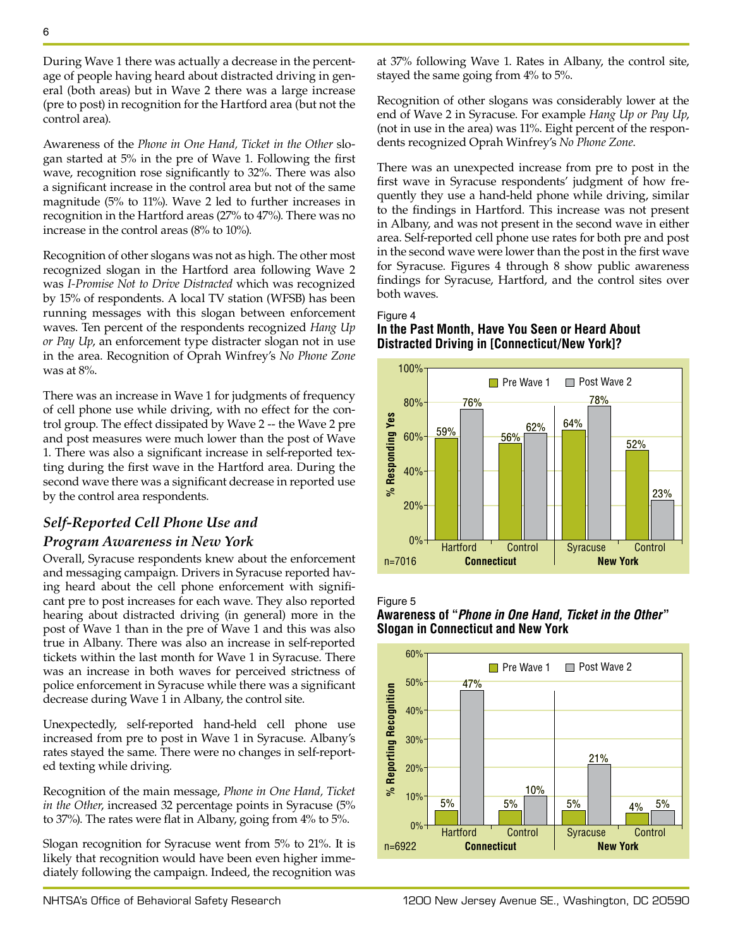During Wave 1 there was actually a decrease in the percentage of people having heard about distracted driving in general (both areas) but in Wave 2 there was a large increase (pre to post) in recognition for the Hartford area (but not the control area).

Awareness of the *Phone in One Hand, Ticket in the Other* slogan started at 5% in the pre of Wave 1. Following the first wave, recognition rose significantly to 32%. There was also a significant increase in the control area but not of the same magnitude (5% to 11%). Wave 2 led to further increases in recognition in the Hartford areas (27% to 47%). There was no increase in the control areas (8% to 10%).

Recognition of other slogans was not as high. The other most recognized slogan in the Hartford area following Wave 2 was *I-Promise Not to Drive Distracted* which was recognized by 15% of respondents. A local TV station (WFSB) has been running messages with this slogan between enforcement waves. Ten percent of the respondents recognized *Hang Up or Pay Up*, an enforcement type distracter slogan not in use in the area. Recognition of Oprah Winfrey's *No Phone Zone*  was at 8%.

There was an increase in Wave 1 for judgments of frequency of cell phone use while driving, with no effect for the control group. The effect dissipated by Wave 2 -- the Wave 2 pre and post measures were much lower than the post of Wave 1. There was also a significant increase in self-reported texting during the first wave in the Hartford area. During the second wave there was a significant decrease in reported use by the control area respondents.

# *Self-Reported Cell Phone Use and*

## *Program Awareness in New York*

Overall, Syracuse respondents knew about the enforcement and messaging campaign. Drivers in Syracuse reported having heard about the cell phone enforcement with significant pre to post increases for each wave. They also reported hearing about distracted driving (in general) more in the post of Wave 1 than in the pre of Wave 1 and this was also true in Albany. There was also an increase in self-reported tickets within the last month for Wave 1 in Syracuse. There was an increase in both waves for perceived strictness of police enforcement in Syracuse while there was a significant decrease during Wave 1 in Albany, the control site.

Unexpectedly, self-reported hand-held cell phone use increased from pre to post in Wave 1 in Syracuse. Albany's rates stayed the same. There were no changes in self-reported texting while driving.

Recognition of the main message, *Phone in One Hand, Ticket in the Other*, increased 32 percentage points in Syracuse (5% to 37%). The rates were flat in Albany, going from 4% to 5%.

Slogan recognition for Syracuse went from 5% to 21%. It is likely that recognition would have been even higher immediately following the campaign. Indeed, the recognition was at 37% following Wave 1. Rates in Albany, the control site, stayed the same going from 4% to 5%.

Recognition of other slogans was considerably lower at the end of Wave 2 in Syracuse. For example *Hang Up or Pay Up*, (not in use in the area) was 11%. Eight percent of the respondents recognized Oprah Winfrey's *No Phone Zone*.

There was an unexpected increase from pre to post in the first wave in Syracuse respondents' judgment of how frequently they use a hand-held phone while driving, similar to the findings in Hartford. This increase was not present in Albany, and was not present in the second wave in either area. Self-reported cell phone use rates for both pre and post in the second wave were lower than the post in the first wave for Syracuse. Figures 4 through 8 show public awareness findings for Syracuse, Hartford, and the control sites over both waves.

#### Figure 4

## **In the Past Month, Have You Seen or Heard About Distracted Driving in [Connecticut/New York]?**





**Awareness of "***Phone in One Hand, Ticket in the Other***" Slogan in Connecticut and New York**

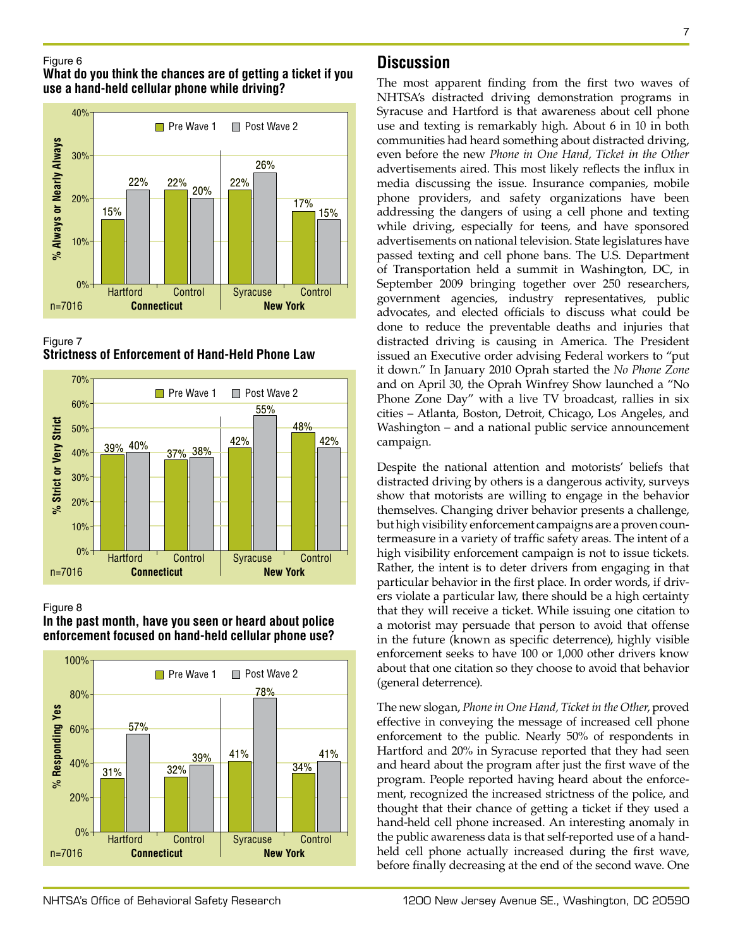#### Figure 6

## **What do you think the chances are of getting a ticket if you use a hand-held cellular phone while driving?**







#### Figure 8



**In the past month, have you seen or heard about police enforcement focused on hand-held cellular phone use?**

# **Discussion**

The most apparent finding from the first two waves of NHTSA's distracted driving demonstration programs in Syracuse and Hartford is that awareness about cell phone use and texting is remarkably high. About 6 in 10 in both communities had heard something about distracted driving, even before the new *Phone in One Hand, Ticket in the Other* advertisements aired. This most likely reflects the influx in media discussing the issue. Insurance companies, mobile phone providers, and safety organizations have been addressing the dangers of using a cell phone and texting while driving, especially for teens, and have sponsored advertisements on national television. State legislatures have passed texting and cell phone bans. The U.S. Department of Transportation held a summit in Washington, DC, in September 2009 bringing together over 250 researchers, government agencies, industry representatives, public advocates, and elected officials to discuss what could be done to reduce the preventable deaths and injuries that distracted driving is causing in America. The President issued an Executive order advising Federal workers to "put it down." In January 2010 Oprah started the *No Phone Zone* and on April 30, the Oprah Winfrey Show launched a "No Phone Zone Day" with a live TV broadcast, rallies in six cities – Atlanta, Boston, Detroit, Chicago, Los Angeles, and Washington – and a national public service announcement campaign.

Despite the national attention and motorists' beliefs that distracted driving by others is a dangerous activity, surveys show that motorists are willing to engage in the behavior themselves. Changing driver behavior presents a challenge, but high visibility enforcement campaigns are a proven countermeasure in a variety of traffic safety areas. The intent of a high visibility enforcement campaign is not to issue tickets. Rather, the intent is to deter drivers from engaging in that particular behavior in the first place. In order words, if drivers violate a particular law, there should be a high certainty that they will receive a ticket. While issuing one citation to a motorist may persuade that person to avoid that offense in the future (known as specific deterrence), highly visible enforcement seeks to have 100 or 1,000 other drivers know about that one citation so they choose to avoid that behavior (general deterrence).

The new slogan, *Phone in One Hand, Ticket in the Other*, proved effective in conveying the message of increased cell phone enforcement to the public. Nearly 50% of respondents in Hartford and 20% in Syracuse reported that they had seen and heard about the program after just the first wave of the program. People reported having heard about the enforcement, recognized the increased strictness of the police, and thought that their chance of getting a ticket if they used a hand-held cell phone increased. An interesting anomaly in the public awareness data is that self-reported use of a handheld cell phone actually increased during the first wave, before finally decreasing at the end of the second wave. One